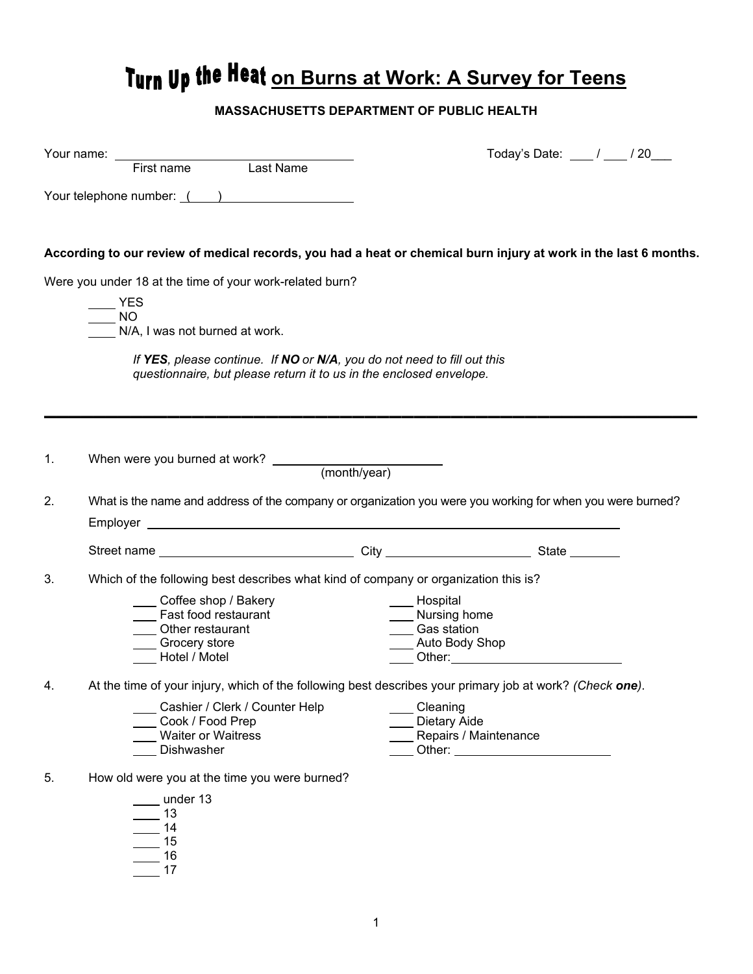## **Turn Up the Heat on Burns at Work: A Survey for Teens**

## **MASSACHUSETTS DEPARTMENT OF PUBLIC HEALTH**

|    | Your name: ___                                                                                                                                 |                                  |                       | Today's Date: ____ / ___ / 20___ |  |  |  |
|----|------------------------------------------------------------------------------------------------------------------------------------------------|----------------------------------|-----------------------|----------------------------------|--|--|--|
|    | First name Last Name                                                                                                                           |                                  |                       |                                  |  |  |  |
|    | Your telephone number: ()                                                                                                                      |                                  |                       |                                  |  |  |  |
|    |                                                                                                                                                |                                  |                       |                                  |  |  |  |
|    | According to our review of medical records, you had a heat or chemical burn injury at work in the last 6 months.                               |                                  |                       |                                  |  |  |  |
|    | Were you under 18 at the time of your work-related burn?                                                                                       |                                  |                       |                                  |  |  |  |
|    | <b>YES</b>                                                                                                                                     |                                  |                       |                                  |  |  |  |
|    | NO <sub>1</sub><br>N/A, I was not burned at work.                                                                                              |                                  |                       |                                  |  |  |  |
|    |                                                                                                                                                |                                  |                       |                                  |  |  |  |
|    | If YES, please continue. If NO or N/A, you do not need to fill out this<br>questionnaire, but please return it to us in the enclosed envelope. |                                  |                       |                                  |  |  |  |
|    |                                                                                                                                                |                                  |                       |                                  |  |  |  |
|    |                                                                                                                                                |                                  |                       |                                  |  |  |  |
|    |                                                                                                                                                |                                  |                       |                                  |  |  |  |
| 1. |                                                                                                                                                |                                  |                       |                                  |  |  |  |
|    |                                                                                                                                                |                                  |                       |                                  |  |  |  |
| 2. | What is the name and address of the company or organization you were you working for when you were burned?                                     |                                  |                       |                                  |  |  |  |
|    |                                                                                                                                                |                                  |                       |                                  |  |  |  |
|    |                                                                                                                                                |                                  |                       |                                  |  |  |  |
|    |                                                                                                                                                |                                  |                       |                                  |  |  |  |
| 3. | Which of the following best describes what kind of company or organization this is?                                                            |                                  |                       |                                  |  |  |  |
|    | Coffee shop / Bakery                                                                                                                           | Hospital                         |                       |                                  |  |  |  |
|    | Fast food restaurant                                                                                                                           | __ Nursing home                  |                       |                                  |  |  |  |
|    | Other restaurant<br>Grocery store                                                                                                              | Gas station<br>__ Auto Body Shop |                       |                                  |  |  |  |
|    | Hotel / Motel                                                                                                                                  |                                  |                       |                                  |  |  |  |
|    | At the time of your injury, which of the following best describes your primary job at work? (Check one).                                       |                                  |                       |                                  |  |  |  |
|    | _Cashier / Clerk / Counter Help                                                                                                                | ____ Cleaning                    |                       |                                  |  |  |  |
|    | Cook / Food Prep                                                                                                                               | Dietary Aide                     |                       |                                  |  |  |  |
|    | <b>Waiter or Waitress</b>                                                                                                                      |                                  | Repairs / Maintenance |                                  |  |  |  |
|    | Dishwasher                                                                                                                                     |                                  |                       |                                  |  |  |  |
| 5. | How old were you at the time you were burned?                                                                                                  |                                  |                       |                                  |  |  |  |
|    | under 13                                                                                                                                       |                                  |                       |                                  |  |  |  |
|    | 13                                                                                                                                             |                                  |                       |                                  |  |  |  |
|    | 14                                                                                                                                             |                                  |                       |                                  |  |  |  |
|    | 15<br>16                                                                                                                                       |                                  |                       |                                  |  |  |  |
|    |                                                                                                                                                |                                  |                       |                                  |  |  |  |
|    | 17                                                                                                                                             |                                  |                       |                                  |  |  |  |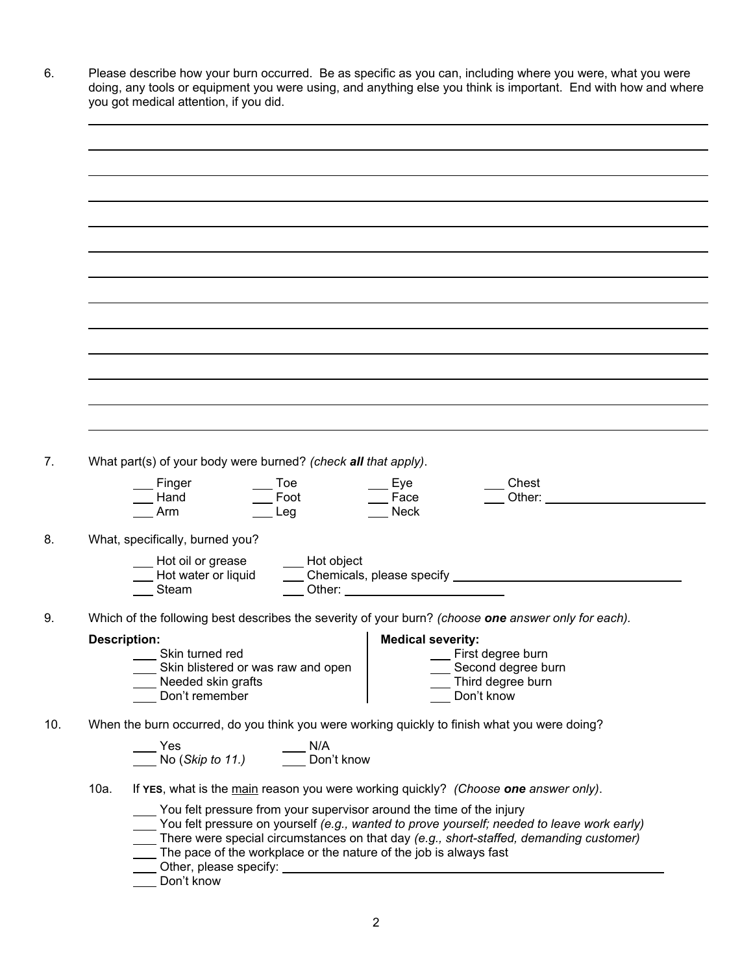|      | What part(s) of your body were burned? (check all that apply).                                                                                                                                                                                                                              |
|------|---------------------------------------------------------------------------------------------------------------------------------------------------------------------------------------------------------------------------------------------------------------------------------------------|
|      | Chest<br>Toe<br>Finger<br>Eye<br>___ Foot<br>Other: when the contract of the contract of the contract of the contract of the contract of the contract of the contract of the contract of the contract of the contract of the contract of the contract of the contract of th<br>Face<br>Hand |
|      | Leg<br><b>Neck</b><br>Arm                                                                                                                                                                                                                                                                   |
|      | What, specifically, burned you?                                                                                                                                                                                                                                                             |
|      |                                                                                                                                                                                                                                                                                             |
|      | _ Hot oil or grease<br>____ Hot object<br>Hot water or liquid                                                                                                                                                                                                                               |
|      | Other: <u>with the contract of the contract of the contract of the contract of the contract of the contract of the contract of the contract of the contract of the contract of the contract of the contract of the contract of t</u><br>Steam                                               |
|      | Which of the following best describes the severity of your burn? (choose one answer only for each).                                                                                                                                                                                         |
|      | <b>Medical severity:</b><br><b>Description:</b>                                                                                                                                                                                                                                             |
|      | First degree burn<br>Skin turned red                                                                                                                                                                                                                                                        |
|      | Skin blistered or was raw and open<br>Second degree burn                                                                                                                                                                                                                                    |
|      | Needed skin grafts<br>Third degree burn<br>Don't remember<br>Don't know                                                                                                                                                                                                                     |
|      |                                                                                                                                                                                                                                                                                             |
|      | When the burn occurred, do you think you were working quickly to finish what you were doing?                                                                                                                                                                                                |
|      | N/A<br>Yes                                                                                                                                                                                                                                                                                  |
|      | No (Skip to 11.) Don't know                                                                                                                                                                                                                                                                 |
| 10a. | If YES, what is the main reason you were working quickly? (Choose one answer only).                                                                                                                                                                                                         |
|      | You felt pressure from your supervisor around the time of the injury                                                                                                                                                                                                                        |
|      | You felt pressure on yourself (e.g., wanted to prove yourself; needed to leave work early)                                                                                                                                                                                                  |
|      | There were special circumstances on that day (e.g., short-staffed, demanding customer)<br>The pace of the workplace or the nature of the job is always fast                                                                                                                                 |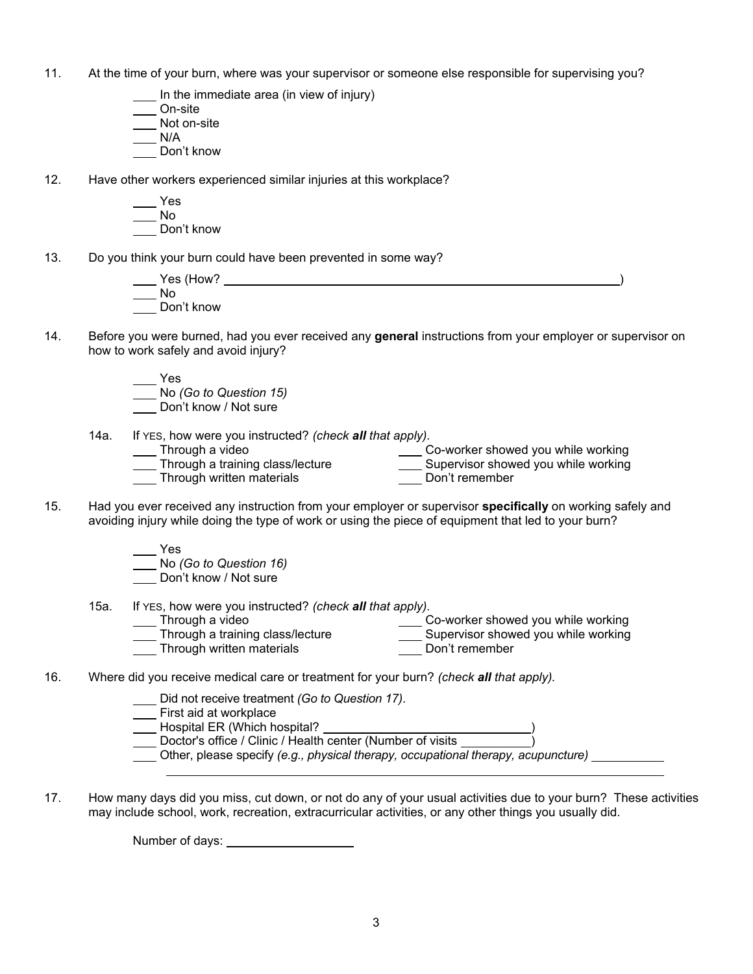- 11. At the time of your burn, where was your supervisor or someone else responsible for supervising you?
	- In the immediate area (in view of injury)
	- On-site
	- Not on-site
	- N/A
	- Don't know
- 12. Have other workers experienced similar injuries at this workplace?
	- Yes  $\overline{\phantom{0}}$ No
	- Don't know
- 13. Do you think your burn could have been prevented in some way?

| Yes (How?  |  |  |
|------------|--|--|
| No         |  |  |
| Don't know |  |  |

- 14. Before you were burned, had you ever received any **general** instructions from your employer or supervisor on how to work safely and avoid injury?
	- Yes
	- No *(Go to Question 15)*
	- Don't know / Not sure
	- 14a. If YES, how were you instructed? *(check all that apply).* \_\_\_\_ Through a video
		- \_\_\_\_\_ Co-worker showed you while working

Don't remember

- **Through a training class/lecture**
- **Through written materials**
- Supervisor showed you while working Don't remember
- 15. Had you ever received any instruction from your employer or supervisor **specifically** on working safely and avoiding injury while doing the type of work or using the piece of equipment that led to your burn?
	- Yes No *(Go to Question 16)*
	- Don't know / Not sure
	-
- 15a. If YES, how were you instructed? *(check all that apply).* **Through a video Through a training class/lecture Co-worker showed you while working Supervisor showed you while working** 
	- Through written materials
- 16. Where did you receive medical care or treatment for your burn? *(check all that apply).*
	- Did not receive treatment *(Go to Question 17)*.
	- **Example 21** First aid at workplace

- \_\_\_ Hospital ER (Which hospital? \_\_
- Doctor's office / Clinic / Health center (Number of visits
- Other, please specify *(e.g., physical therapy, occupational therapy, acupuncture)*
- 17. How many days did you miss, cut down, or not do any of your usual activities due to your burn? These activities may include school, work, recreation, extracurricular activities, or any other things you usually did.

**Number of days:**  $\blacksquare$